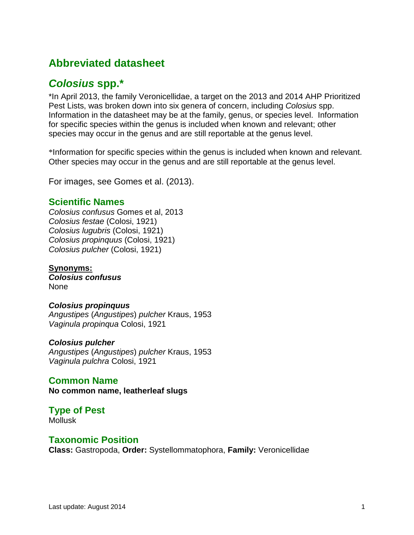# **Abbreviated datasheet**

# *Colosius* **spp.\***

\*In April 2013, the family Veronicellidae, a target on the 2013 and 2014 AHP Prioritized Pest Lists, was broken down into six genera of concern, including *Colosius* spp. Information in the datasheet may be at the family, genus, or species level. Information for specific species within the genus is included when known and relevant; other species may occur in the genus and are still reportable at the genus level.

\*Information for specific species within the genus is included when known and relevant. Other species may occur in the genus and are still reportable at the genus level.

For images, see Gomes et al. (2013).

### **Scientific Names**

*Colosius confusus* Gomes et al, 2013 *Colosius festae* (Colosi, 1921) *Colosius lugubris* (Colosi, 1921) *Colosius propinquus* (Colosi, 1921) *Colosius pulcher* (Colosi, 1921)

**Synonyms:** *Colosius confusus* None

# *Colosius propinquus*

*Angustipes* (*Angustipes*) *pulcher* Kraus, 1953 *Vaginula propinqua* Colosi, 1921

#### *Colosius pulcher*

*Angustipes* (*Angustipes*) *pulcher* Kraus, 1953 *Vaginula pulchra* Colosi, 1921

#### **Common Name**

**No common name, leatherleaf slugs**

#### **Type of Pest Mollusk**

### **Taxonomic Position**

**Class:** Gastropoda, **Order:** Systellommatophora, **Family:** Veronicellidae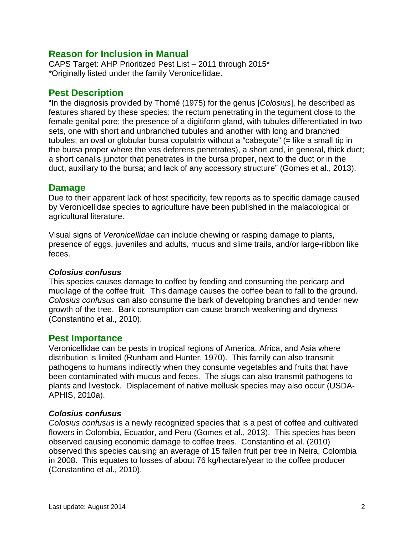## **Reason for Inclusion in Manual**

CAPS Target: AHP Prioritized Pest List – 2011 through 2015\* \*Originally listed under the family Veronicellidae.

# **Pest Description**

"In the diagnosis provided by Thomé (1975) for the genus [*Colosius*], he described as features shared by these species: the rectum penetrating in the tegument close to the female genital pore; the presence of a digitiform gland, with tubules differentiated in two sets, one with short and unbranched tubules and another with long and branched tubules; an oval or globular bursa copulatrix without a "cabeçote" (= like a small tip in the bursa proper where the vas deferens penetrates), a short and, in general, thick duct; a short canalis junctor that penetrates in the bursa proper, next to the duct or in the duct, auxillary to the bursa; and lack of any accessory structure" (Gomes et al., 2013).

## **Damage**

Due to their apparent lack of host specificity, few reports as to specific damage caused by Veronicellidae species to agriculture have been published in the malacological or agricultural literature.

Visual signs of *Veronicellidae* can include chewing or rasping damage to plants, presence of eggs, juveniles and adults, mucus and slime trails, and/or large-ribbon like feces.

### *Colosius confusus*

This species causes damage to coffee by feeding and consuming the pericarp and mucilage of the coffee fruit. This damage causes the coffee bean to fall to the ground. *Colosius confusus* can also consume the bark of developing branches and tender new growth of the tree. Bark consumption can cause branch weakening and dryness (Constantino et al., 2010).

# **Pest Importance**

Veronicellidae can be pests in tropical regions of America, Africa, and Asia where distribution is limited (Runham and Hunter, 1970).This family can also transmit pathogens to humans indirectly when they consume vegetables and fruits that have been contaminated with mucus and feces. The slugs can also transmit pathogens to plants and livestock. Displacement of native mollusk species may also occur (USDA-APHIS, 2010a).

### *Colosius confusus*

*Colosius confusus* is a newly recognized species that is a pest of coffee and cultivated flowers in Colombia, Ecuador, and Peru (Gomes et al., 2013). This species has been observed causing economic damage to coffee trees. Constantino et al. (2010) observed this species causing an average of 15 fallen fruit per tree in Neira, Colombia in 2008. This equates to losses of about 76 kg/hectare/year to the coffee producer (Constantino et al., 2010).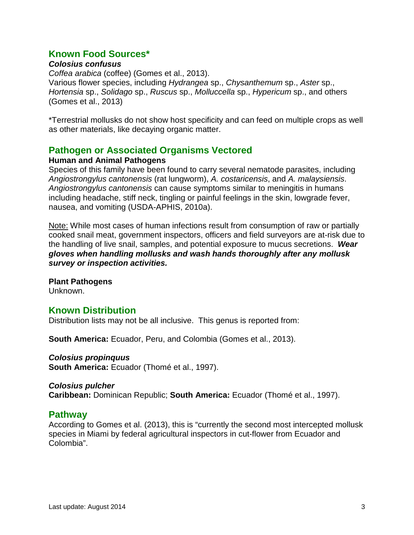### **Known Food Sources\***

*Colosius confusus Coffea arabica* (coffee) (Gomes et al., 2013). Various flower species, including *Hydrangea* sp., *Chysanthemum* sp., *Aster* sp., *Hortensia* sp., *Solidago* sp., *Ruscus* sp., *Molluccella* sp., *Hypericum* sp., and others (Gomes et al., 2013)

\*Terrestrial mollusks do not show host specificity and can feed on multiple crops as well as other materials, like decaying organic matter.

# **Pathogen or Associated Organisms Vectored**

### **Human and Animal Pathogens**

Species of this family have been found to carry several nematode parasites, including *Angiostrongylus cantonensis* (rat lungworm), *A. costaricensis*, and *A. malaysiensis*. *Angiostrongylus cantonensis* can cause symptoms similar to meningitis in humans including headache, stiff neck, tingling or painful feelings in the skin, lowgrade fever, nausea, and vomiting (USDA-APHIS, 2010a).

Note: While most cases of human infections result from consumption of raw or partially cooked snail meat, government inspectors, officers and field surveyors are at-risk due to the handling of live snail, samples, and potential exposure to mucus secretions. *Wear gloves when handling mollusks and wash hands thoroughly after any mollusk survey or inspection activities.*

**Plant Pathogens** Unknown.

### **Known Distribution**

Distribution lists may not be all inclusive. This genus is reported from:

**South America:** Ecuador, Peru, and Colombia (Gomes et al., 2013).

*Colosius propinquus* **South America:** Ecuador (Thomé et al., 1997).

#### *Colosius pulcher*

**Caribbean:** Dominican Republic; **South America:** Ecuador (Thomé et al., 1997).

### **Pathway**

According to Gomes et al. (2013), this is "currently the second most intercepted mollusk species in Miami by federal agricultural inspectors in cut-flower from Ecuador and Colombia".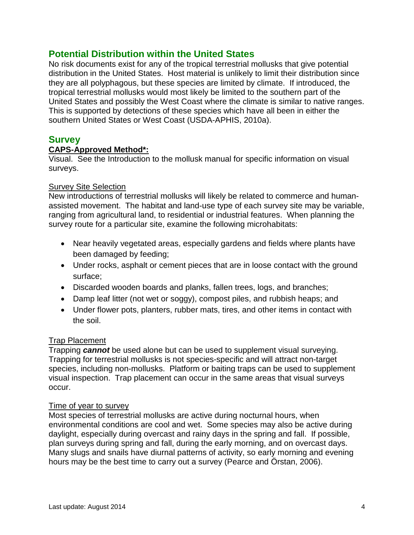# **Potential Distribution within the United States**

No risk documents exist for any of the tropical terrestrial mollusks that give potential distribution in the United States. Host material is unlikely to limit their distribution since they are all polyphagous, but these species are limited by climate. If introduced, the tropical terrestrial mollusks would most likely be limited to the southern part of the United States and possibly the West Coast where the climate is similar to native ranges. This is supported by detections of these species which have all been in either the southern United States or West Coast (USDA-APHIS, 2010a).

## **Survey**

### **CAPS-Approved Method\*:**

Visual. See the Introduction to the mollusk manual for specific information on visual surveys.

#### Survey Site Selection

New introductions of terrestrial mollusks will likely be related to commerce and humanassisted movement. The habitat and land-use type of each survey site may be variable, ranging from agricultural land, to residential or industrial features. When planning the survey route for a particular site, examine the following microhabitats:

- Near heavily vegetated areas, especially gardens and fields where plants have been damaged by feeding;
- Under rocks, asphalt or cement pieces that are in loose contact with the ground surface;
- Discarded wooden boards and planks, fallen trees, logs, and branches;
- Damp leaf litter (not wet or soggy), compost piles, and rubbish heaps; and
- Under flower pots, planters, rubber mats, tires, and other items in contact with the soil.

### Trap Placement

Trapping *cannot* be used alone but can be used to supplement visual surveying. Trapping for terrestrial mollusks is not species-specific and will attract non-target species, including non-mollusks. Platform or baiting traps can be used to supplement visual inspection. Trap placement can occur in the same areas that visual surveys occur.

#### Time of year to survey

Most species of terrestrial mollusks are active during nocturnal hours, when environmental conditions are cool and wet. Some species may also be active during daylight, especially during overcast and rainy days in the spring and fall. If possible, plan surveys during spring and fall, during the early morning, and on overcast days. Many slugs and snails have diurnal patterns of activity, so early morning and evening hours may be the best time to carry out a survey (Pearce and Örstan, 2006).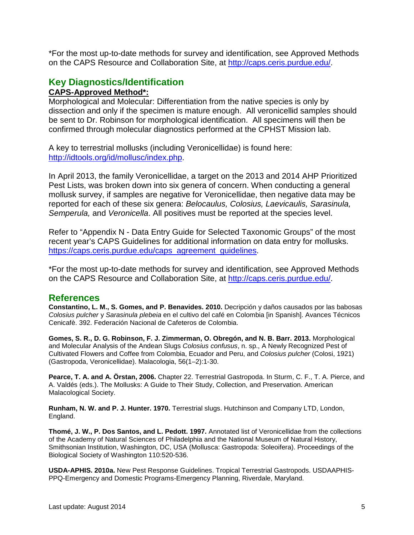\*For the most up-to-date methods for survey and identification, see Approved Methods on the CAPS Resource and Collaboration Site, at http://caps.ceris.purdue.edu/.

# **Key Diagnostics/Identification CAPS-Approved Method\*:**

Morphological and Molecular: Differentiation from the native species is only by dissection and only if the specimen is mature enough. All veronicellid samples should be sent to Dr. Robinson for morphological identification. All specimens will then be confirmed through molecular diagnostics performed at the CPHST Mission lab.

A key to terrestrial mollusks (including Veronicellidae) is found here: [http://idtools.org/id/mollusc/index.php.](http://idtools.org/id/mollusc/index.php)

In April 2013, the family Veronicellidae, a target on the 2013 and 2014 AHP Prioritized Pest Lists, was broken down into six genera of concern. When conducting a general mollusk survey, if samples are negative for Veronicellidae, then negative data may be reported for each of these six genera: *Belocaulus, Colosius, Laevicaulis, Sarasinula, Semperula,* and *Veronicella*. All positives must be reported at the species level.

Refer to "Appendix N - Data Entry Guide for Selected Taxonomic Groups" of the most recent year's CAPS Guidelines for additional information on data entry for mollusks. [https://caps.ceris.purdue.edu/caps\\_agreement\\_guidelines.](https://caps.ceris.purdue.edu/caps_agreement_guidelines)

\*For the most up-to-date methods for survey and identification, see Approved Methods on the CAPS Resource and Collaboration Site, at http://caps.ceris.purdue.edu/.

### **References**

**Constantino, L. M., S. Gomes, and P. Benavides. 2010.** Decripción y daños causados por las babosas *Colosius pulcher* y *Sarasinula plebeia* en el cultivo del café en Colombia [in Spanish]. Avances Técnicos Cenicafè. 392. Federación Nacional de Cafeteros de Colombia.

**Gomes, S. R., D. G. Robinson, F. J. Zimmerman, O. Obregón, and N. B. Barr. 2013.** Morphological and Molecular Analysis of the Andean Slugs *Colosius confusus*, n. sp., A Newly Recognized Pest of Cultivated Flowers and Coffee from Colombia, Ecuador and Peru, and *Colosius pulcher* (Colosi, 1921) (Gastropoda, Veronicellidae). Malacologia, 56(1–2):1-30.

**Pearce, T. A. and A. Örstan, 2006.** Chapter 22. Terrestrial Gastropoda. In Sturm, C. F., T. A. Pierce, and A. Valdés (eds.). The Mollusks: A Guide to Their Study, Collection, and Preservation. American Malacological Society.

**Runham, N. W. and P. J. Hunter. 1970.** Terrestrial slugs. Hutchinson and Company LTD, London, England.

**Thomé, J. W., P. Dos Santos, and L. Pedott. 1997.** Annotated list of Veronicellidae from the collections of the Academy of Natural Sciences of Philadelphia and the National Museum of Natural History, Smithsonian Institution, Washington, DC, USA (Mollusca: Gastropoda: Soleoifera). Proceedings of the Biological Society of Washington 110:520-536.

**USDA-APHIS. 2010a.** New Pest Response Guidelines. Tropical Terrestrial Gastropods. USDAAPHIS-PPQ-Emergency and Domestic Programs-Emergency Planning, Riverdale, Maryland.